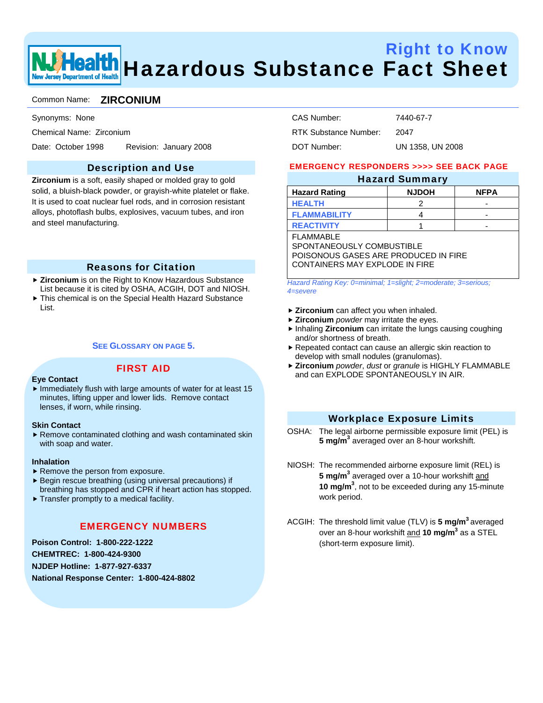# Right to Know **N. Health** Hazardous Substance Fact Sheet

## Common Name: **ZIRCONIUM**

Synonyms: None

Chemical Name: Zirconium

Date: October 1998 Revision: January 2008

## Description and Use

**Zirconium** is a soft, easily shaped or molded gray to gold solid, a bluish-black powder, or grayish-white platelet or flake. It is used to coat nuclear fuel rods, and in corrosion resistant alloys, photoflash bulbs, explosives, vacuum tubes, and iron and steel manufacturing.

#### Reasons for Citation

- ▶ Zirconium is on the Right to Know Hazardous Substance List because it is cited by OSHA, ACGIH, DOT and NIOSH.
- $\triangleright$  This chemical is on the Special Health Hazard Substance List.

#### **SEE GLOSSARY ON PAGE 5.**

#### FIRST AID

#### **Eye Contact**

 $\blacktriangleright$  Immediately flush with large amounts of water for at least 15 minutes, lifting upper and lower lids. Remove contact lenses, if worn, while rinsing.

#### **Skin Contact**

 $\blacktriangleright$  Remove contaminated clothing and wash contaminated skin with soap and water.

#### **Inhalation**

- $\blacktriangleright$  Remove the person from exposure.
- $\blacktriangleright$  Begin rescue breathing (using universal precautions) if breathing has stopped and CPR if heart action has stopped.
- $\blacktriangleright$  Transfer promptly to a medical facility.

### EMERGENCY NUMBERS

**Poison Control: 1-800-222-1222 CHEMTREC: 1-800-424-9300 NJDEP Hotline: 1-877-927-6337 National Response Center: 1-800-424-8802** 

| CAS Number:           | 7440-67-7        |
|-----------------------|------------------|
| RTK Substance Number: | 2047             |
| DOT Number:           | UN 1358, UN 2008 |

#### EMERGENCY RESPONDERS >>>> SEE BACK PAGE

#### Hazard Summary

| <b>Hazard Rating</b> | <b>NJDOH</b> | <b>NFPA</b> |  |  |  |  |
|----------------------|--------------|-------------|--|--|--|--|
| <b>HEALTH</b>        |              |             |  |  |  |  |
| <b>FLAMMABILITY</b>  |              | -           |  |  |  |  |
| <b>REACTIVITY</b>    |              | -           |  |  |  |  |

**FI AMMARI F** SPONTANEOUSLY COMBUSTIBLE POISONOUS GASES ARE PRODUCED IN FIRE CONTAINERS MAY EXPLODE IN FIRE

*Hazard Rating Key: 0=minimal; 1=slight; 2=moderate; 3=serious; 4=severe*

- ▶ Zirconium can affect you when inhaled.
- ▶ Zirconium *powder* may irritate the eyes.
- **F** Inhaling **Zirconium** can irritate the lungs causing coughing and/or shortness of breath.
- $\blacktriangleright$  Repeated contact can cause an allergic skin reaction to develop with small nodules (granulomas).
- **Example 2** Zirconium *powder*, *dust* or *granule* is HIGHLY FLAMMABLE and can EXPLODE SPONTANEOUSLY IN AIR.

## Workplace Exposure Limits

- OSHA: The legal airborne permissible exposure limit (PEL) is **5 mg/m3** averaged over an 8-hour workshift.
- NIOSH: The recommended airborne exposure limit (REL) is **5 mg/m<sup>3</sup> averaged over a 10-hour workshift and 10 mg/m3** , not to be exceeded during any 15-minute work period.
- ACGIH: The threshold limit value (TLV) is **5 mg/m3** averaged over an 8-hour workshift <u>and</u> 10 mg/m<sup>3</sup> as a STEL (short-term exposure limit).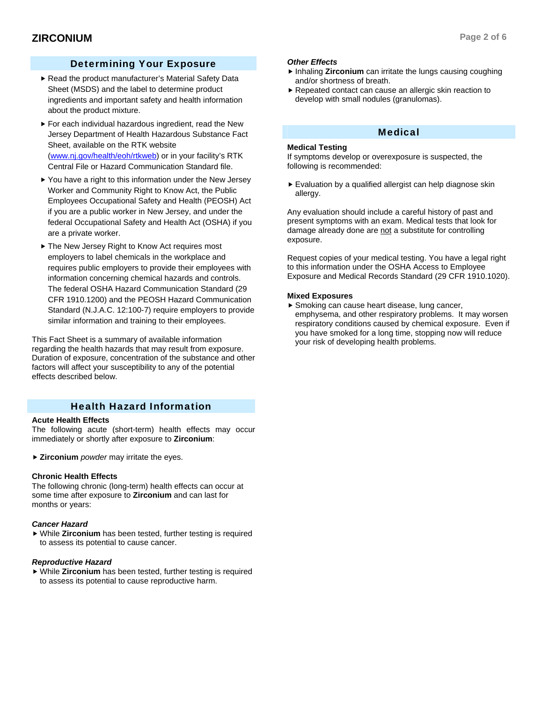## Determining Your Exposure

- Read the product manufacturer's Material Safety Data Sheet (MSDS) and the label to determine product ingredients and important safety and health information about the product mixture.
- $\blacktriangleright$  For each individual hazardous ingredient, read the New Jersey Department of Health Hazardous Substance Fact Sheet, available on the RTK website (www.nj.gov/health/eoh/rtkweb) or in your facility's RTK Central File or Hazard Communication Standard file.
- $\blacktriangleright$  You have a right to this information under the New Jersey Worker and Community Right to Know Act, the Public Employees Occupational Safety and Health (PEOSH) Act if you are a public worker in New Jersey, and under the federal Occupational Safety and Health Act (OSHA) if you are a private worker.
- ▶ The New Jersey Right to Know Act requires most employers to label chemicals in the workplace and requires public employers to provide their employees with information concerning chemical hazards and controls. The federal OSHA Hazard Communication Standard (29 CFR 1910.1200) and the PEOSH Hazard Communication Standard (N.J.A.C. 12:100-7) require employers to provide similar information and training to their employees.

This Fact Sheet is a summary of available information regarding the health hazards that may result from exposure. Duration of exposure, concentration of the substance and other factors will affect your susceptibility to any of the potential effects described below.

## Health Hazard Information

#### **Acute Health Effects**

The following acute (short-term) health effects may occur immediately or shortly after exposure to **Zirconium**:

▶ Zirconium *powder* may irritate the eyes.

#### **Chronic Health Effects**

The following chronic (long-term) health effects can occur at some time after exposure to **Zirconium** and can last for months or years:

#### *Cancer Hazard*

• While **Zirconium** has been tested, further testing is required to assess its potential to cause cancer.

#### *Reproductive Hazard*

▶ While Zirconium has been tested, further testing is required to assess its potential to cause reproductive harm.

#### *Other Effects*

- **F** Inhaling **Zirconium** can irritate the lungs causing coughing and/or shortness of breath.
- $\blacktriangleright$  Repeated contact can cause an allergic skin reaction to develop with small nodules (granulomas).

## Medical

#### **Medical Testing**

If symptoms develop or overexposure is suspected, the following is recommended:

 $\blacktriangleright$  Evaluation by a qualified allergist can help diagnose skin allergy.

Any evaluation should include a careful history of past and present symptoms with an exam. Medical tests that look for damage already done are not a substitute for controlling exposure.

Request copies of your medical testing. You have a legal right to this information under the OSHA Access to Employee Exposure and Medical Records Standard (29 CFR 1910.1020).

#### **Mixed Exposures**

 $\blacktriangleright$  Smoking can cause heart disease, lung cancer, emphysema, and other respiratory problems. It may worsen respiratory conditions caused by chemical exposure. Even if you have smoked for a long time, stopping now will reduce your risk of developing health problems.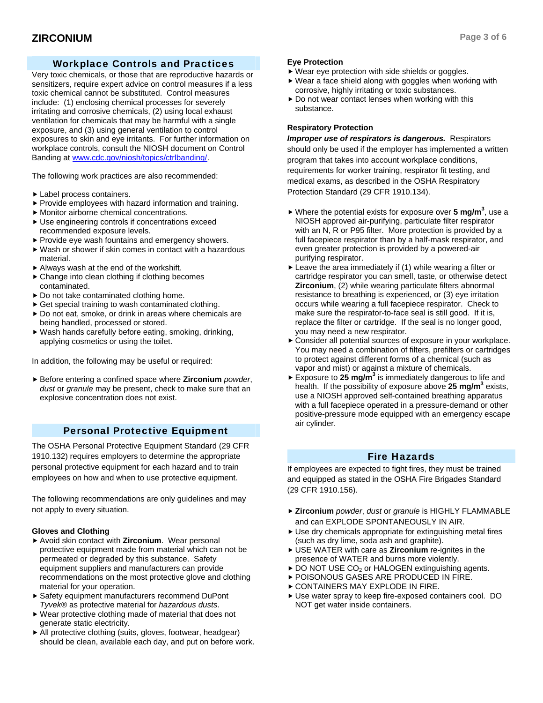## Workplace Controls and Practices

Very toxic chemicals, or those that are reproductive hazards or sensitizers, require expert advice on control measures if a less toxic chemical cannot be substituted. Control measures include: (1) enclosing chemical processes for severely irritating and corrosive chemicals, (2) using local exhaust ventilation for chemicals that may be harmful with a single exposure, and (3) using general ventilation to control exposures to skin and eye irritants. For further information on workplace controls, consult the NIOSH document on Control Banding at www.cdc.gov/niosh/topics/ctrlbanding/.

The following work practices are also recommended:

- $\blacktriangleright$  Label process containers.
- $\blacktriangleright$  Provide employees with hazard information and training.
- $\blacktriangleright$  Monitor airborne chemical concentrations.
- $\blacktriangleright$  Use engineering controls if concentrations exceed recommended exposure levels.
- $\blacktriangleright$  Provide eye wash fountains and emergency showers.
- $\blacktriangleright$  Wash or shower if skin comes in contact with a hazardous material.
- $\blacktriangleright$  Always wash at the end of the workshift.
- $\triangleright$  Change into clean clothing if clothing becomes contaminated.
- $\triangleright$  Do not take contaminated clothing home.
- $\triangleright$  Get special training to wash contaminated clothing.
- $\triangleright$  Do not eat, smoke, or drink in areas where chemicals are being handled, processed or stored.
- $\blacktriangleright$  Wash hands carefully before eating, smoking, drinking, applying cosmetics or using the toilet.

In addition, the following may be useful or required:

f Before entering a confined space where **Zirconium** *powder*, *dust* or *granule* may be present, check to make sure that an explosive concentration does not exist.

#### Personal Protective Equipment

The OSHA Personal Protective Equipment Standard (29 CFR 1910.132) requires employers to determine the appropriate personal protective equipment for each hazard and to train employees on how and when to use protective equipment.

The following recommendations are only guidelines and may not apply to every situation.

#### **Gloves and Clothing**

- ▶ Avoid skin contact with **Zirconium**. Wear personal protective equipment made from material which can not be permeated or degraded by this substance. Safety equipment suppliers and manufacturers can provide recommendations on the most protective glove and clothing material for your operation.
- ▶ Safety equipment manufacturers recommend DuPont *Tyvek®* as protective material for *hazardous dusts*.
- $\blacktriangleright$  Wear protective clothing made of material that does not generate static electricity.
- $\blacktriangleright$  All protective clothing (suits, gloves, footwear, headgear) should be clean, available each day, and put on before work.

#### **Eye Protection**

- $\blacktriangleright$  Wear eye protection with side shields or goggles.
- $\blacktriangleright$  Wear a face shield along with goggles when working with corrosive, highly irritating or toxic substances.
- $\triangleright$  Do not wear contact lenses when working with this substance.

#### **Respiratory Protection**

*Improper use of respirators is dangerous.* Respirators should only be used if the employer has implemented a written program that takes into account workplace conditions, requirements for worker training, respirator fit testing, and medical exams, as described in the OSHA Respiratory Protection Standard (29 CFR 1910.134).

- $\triangleright$  Where the potential exists for exposure over **5 mg/m<sup>3</sup>**, use a NIOSH approved air-purifying, particulate filter respirator with an N, R or P95 filter. More protection is provided by a full facepiece respirator than by a half-mask respirator, and even greater protection is provided by a powered-air purifying respirator.
- $\blacktriangleright$  Leave the area immediately if (1) while wearing a filter or cartridge respirator you can smell, taste, or otherwise detect **Zirconium**, (2) while wearing particulate filters abnormal resistance to breathing is experienced, or (3) eye irritation occurs while wearing a full facepiece respirator. Check to make sure the respirator-to-face seal is still good. If it is, replace the filter or cartridge. If the seal is no longer good, you may need a new respirator.
- $\triangleright$  Consider all potential sources of exposure in your workplace. You may need a combination of filters, prefilters or cartridges to protect against different forms of a chemical (such as vapor and mist) or against a mixture of chemicals.
- Exposure to  $25 \text{ mg/m}^3$  is immediately dangerous to life and health. If the possibility of exposure above 25 mg/m<sup>3</sup> exists, use a NIOSH approved self-contained breathing apparatus with a full facepiece operated in a pressure-demand or other positive-pressure mode equipped with an emergency escape air cylinder.

## Fire Hazards

If employees are expected to fight fires, they must be trained and equipped as stated in the OSHA Fire Brigades Standard (29 CFR 1910.156).

- **Example 2** Zirconium *powder*, *dust* or *granule* is HIGHLY FLAMMABLE and can EXPLODE SPONTANEOUSLY IN AIR.
- $\blacktriangleright$  Use dry chemicals appropriate for extinguishing metal fires (such as dry lime, soda ash and graphite).
- ► USE WATER with care as **Zirconium** re-ignites in the presence of WATER and burns more violently.
- $\triangleright$  DO NOT USE CO<sub>2</sub> or HALOGEN extinguishing agents.
- **POISONOUS GASES ARE PRODUCED IN FIRE.**
- **CONTAINERS MAY EXPLODE IN FIRE.**
- $\blacktriangleright$  Use water spray to keep fire-exposed containers cool. DO NOT get water inside containers.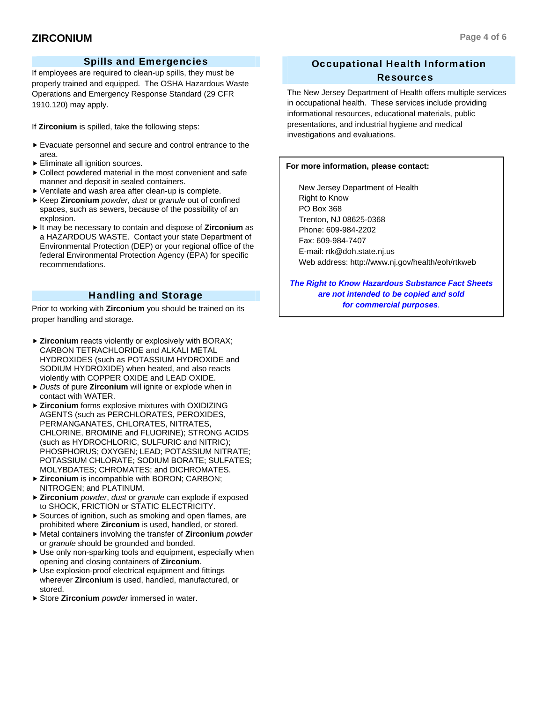## Spills and Emergencies

If employees are required to clean-up spills, they must be properly trained and equipped. The OSHA Hazardous Waste Operations and Emergency Response Standard (29 CFR 1910.120) may apply.

If **Zirconium** is spilled, take the following steps:

- $\blacktriangleright$  Evacuate personnel and secure and control entrance to the area.
- $\blacktriangleright$  Eliminate all ignition sources.
- $\triangleright$  Collect powdered material in the most convenient and safe manner and deposit in sealed containers.
- $\blacktriangleright$  Ventilate and wash area after clean-up is complete.
- f Keep **Zirconium** *powder*, *dust* or *granule* out of confined spaces, such as sewers, because of the possibility of an explosion.
- $\triangleright$  It may be necessary to contain and dispose of **Zirconium** as a HAZARDOUS WASTE. Contact your state Department of Environmental Protection (DEP) or your regional office of the federal Environmental Protection Agency (EPA) for specific recommendations.

## Handling and Storage

Prior to working with **Zirconium** you should be trained on its proper handling and storage.

- **Example 2** Zirconium reacts violently or explosively with BORAX; CARBON TETRACHLORIDE and ALKALI METAL HYDROXIDES (such as POTASSIUM HYDROXIDE and SODIUM HYDROXIDE) when heated, and also reacts violently with COPPER OXIDE and LEAD OXIDE.
- ▶ *Dusts* of pure **Zirconium** will ignite or explode when in contact with WATER.
- **Exercise F Zirconium** forms explosive mixtures with OXIDIZING AGENTS (such as PERCHLORATES, PEROXIDES, PERMANGANATES, CHLORATES, NITRATES, CHLORINE, BROMINE and FLUORINE); STRONG ACIDS (such as HYDROCHLORIC, SULFURIC and NITRIC); PHOSPHORUS; OXYGEN; LEAD; POTASSIUM NITRATE; POTASSIUM CHLORATE; SODIUM BORATE; SULFATES; MOLYBDATES; CHROMATES; and DICHROMATES.
- ▶ Zirconium is incompatible with BORON; CARBON; NITROGEN; and PLATINUM.
- ▶ Zirconium *powder*, *dust* or *granule* can explode if exposed to SHOCK, FRICTION or STATIC ELECTRICITY.
- $\triangleright$  Sources of ignition, such as smoking and open flames, are prohibited where **Zirconium** is used, handled, or stored.
- f Metal containers involving the transfer of **Zirconium** *powder* or *granule* should be grounded and bonded.
- $\blacktriangleright$  Use only non-sparking tools and equipment, especially when opening and closing containers of **Zirconium**.
- $\blacktriangleright$  Use explosion-proof electrical equipment and fittings wherever **Zirconium** is used, handled, manufactured, or stored.
- ▶ Store Zirconium *powder* immersed in water.

## Occupational Health Information Resources

The New Jersey Department of Health offers multiple services in occupational health. These services include providing informational resources, educational materials, public presentations, and industrial hygiene and medical investigations and evaluations.

#### **For more information, please contact:**

 New Jersey Department of Health Right to Know PO Box 368 Trenton, NJ 08625-0368 Phone: 609-984-2202 Fax: 609-984-7407 E-mail: rtk@doh.state.nj.us Web address: http://www.nj.gov/health/eoh/rtkweb

*The Right to Know Hazardous Substance Fact Sheets are not intended to be copied and sold for commercial purposes.*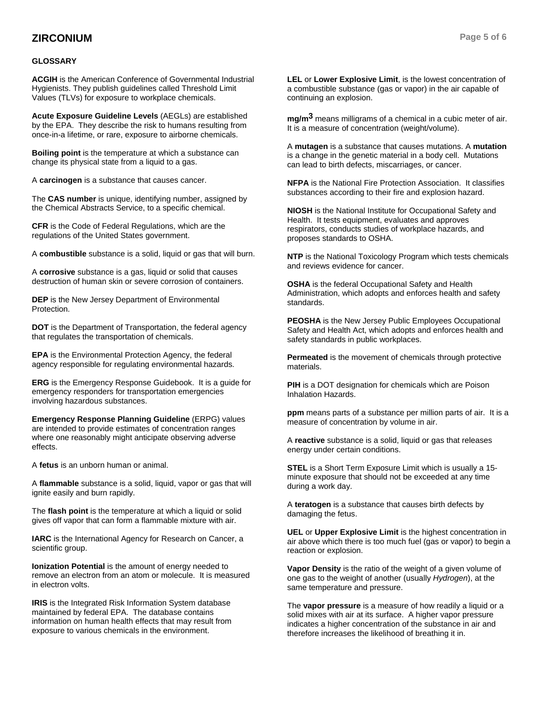#### **GLOSSARY**

**ACGIH** is the American Conference of Governmental Industrial Hygienists. They publish guidelines called Threshold Limit Values (TLVs) for exposure to workplace chemicals.

**Acute Exposure Guideline Levels** (AEGLs) are established by the EPA. They describe the risk to humans resulting from once-in-a lifetime, or rare, exposure to airborne chemicals.

**Boiling point** is the temperature at which a substance can change its physical state from a liquid to a gas.

A **carcinogen** is a substance that causes cancer.

The **CAS number** is unique, identifying number, assigned by the Chemical Abstracts Service, to a specific chemical.

**CFR** is the Code of Federal Regulations, which are the regulations of the United States government.

A **combustible** substance is a solid, liquid or gas that will burn.

A **corrosive** substance is a gas, liquid or solid that causes destruction of human skin or severe corrosion of containers.

**DEP** is the New Jersey Department of Environmental Protection.

**DOT** is the Department of Transportation, the federal agency that regulates the transportation of chemicals.

**EPA** is the Environmental Protection Agency, the federal agency responsible for regulating environmental hazards.

**ERG** is the Emergency Response Guidebook. It is a guide for emergency responders for transportation emergencies involving hazardous substances.

**Emergency Response Planning Guideline** (ERPG) values are intended to provide estimates of concentration ranges where one reasonably might anticipate observing adverse effects.

A **fetus** is an unborn human or animal.

A **flammable** substance is a solid, liquid, vapor or gas that will ignite easily and burn rapidly.

The **flash point** is the temperature at which a liquid or solid gives off vapor that can form a flammable mixture with air.

**IARC** is the International Agency for Research on Cancer, a scientific group.

**Ionization Potential** is the amount of energy needed to remove an electron from an atom or molecule. It is measured in electron volts.

**IRIS** is the Integrated Risk Information System database maintained by federal EPA. The database contains information on human health effects that may result from exposure to various chemicals in the environment.

**LEL** or **Lower Explosive Limit**, is the lowest concentration of a combustible substance (gas or vapor) in the air capable of continuing an explosion.

**mg/m3** means milligrams of a chemical in a cubic meter of air. It is a measure of concentration (weight/volume).

A **mutagen** is a substance that causes mutations. A **mutation** is a change in the genetic material in a body cell. Mutations can lead to birth defects, miscarriages, or cancer.

**NFPA** is the National Fire Protection Association. It classifies substances according to their fire and explosion hazard.

**NIOSH** is the National Institute for Occupational Safety and Health. It tests equipment, evaluates and approves respirators, conducts studies of workplace hazards, and proposes standards to OSHA.

**NTP** is the National Toxicology Program which tests chemicals and reviews evidence for cancer.

**OSHA** is the federal Occupational Safety and Health Administration, which adopts and enforces health and safety standards.

**PEOSHA** is the New Jersey Public Employees Occupational Safety and Health Act, which adopts and enforces health and safety standards in public workplaces.

**Permeated** is the movement of chemicals through protective materials.

**PIH** is a DOT designation for chemicals which are Poison Inhalation Hazards.

**ppm** means parts of a substance per million parts of air. It is a measure of concentration by volume in air.

A **reactive** substance is a solid, liquid or gas that releases energy under certain conditions.

**STEL** is a Short Term Exposure Limit which is usually a 15 minute exposure that should not be exceeded at any time during a work day.

A **teratogen** is a substance that causes birth defects by damaging the fetus.

**UEL** or **Upper Explosive Limit** is the highest concentration in air above which there is too much fuel (gas or vapor) to begin a reaction or explosion.

**Vapor Density** is the ratio of the weight of a given volume of one gas to the weight of another (usually *Hydrogen*), at the same temperature and pressure.

The **vapor pressure** is a measure of how readily a liquid or a solid mixes with air at its surface. A higher vapor pressure indicates a higher concentration of the substance in air and therefore increases the likelihood of breathing it in.